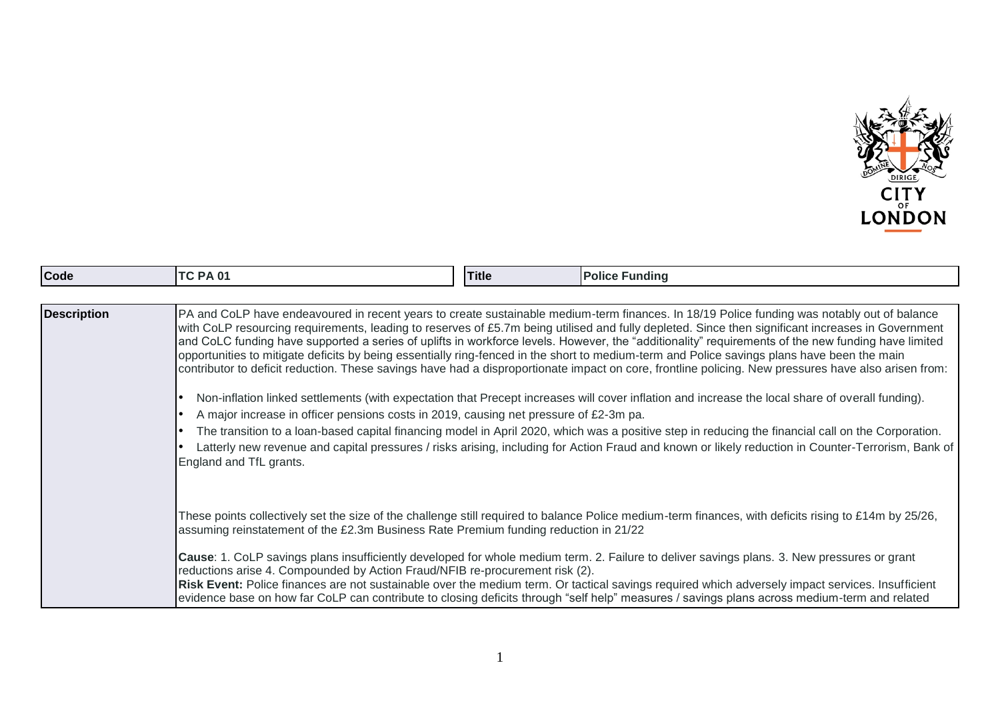

| <b>Code</b>        | <b>TC PA 01</b>         | <b>Title</b>                                                                          | <b>Police Funding</b>                                                                                                                                                                                                                                                                                                                                                                                                                                                                                                                                                                                                                                                                                                                                         |  |
|--------------------|-------------------------|---------------------------------------------------------------------------------------|---------------------------------------------------------------------------------------------------------------------------------------------------------------------------------------------------------------------------------------------------------------------------------------------------------------------------------------------------------------------------------------------------------------------------------------------------------------------------------------------------------------------------------------------------------------------------------------------------------------------------------------------------------------------------------------------------------------------------------------------------------------|--|
|                    |                         |                                                                                       |                                                                                                                                                                                                                                                                                                                                                                                                                                                                                                                                                                                                                                                                                                                                                               |  |
| <b>Description</b> |                         |                                                                                       | PA and CoLP have endeavoured in recent years to create sustainable medium-term finances. In 18/19 Police funding was notably out of balance<br>with CoLP resourcing requirements, leading to reserves of £5.7m being utilised and fully depleted. Since then significant increases in Government<br>and CoLC funding have supported a series of uplifts in workforce levels. However, the "additionality" requirements of the new funding have limited<br>opportunities to mitigate deficits by being essentially ring-fenced in the short to medium-term and Police savings plans have been the main<br>contributor to deficit reduction. These savings have had a disproportionate impact on core, frontline policing. New pressures have also arisen from: |  |
|                    | $\bullet$               | A major increase in officer pensions costs in 2019, causing net pressure of £2-3m pa. | Non-inflation linked settlements (with expectation that Precept increases will cover inflation and increase the local share of overall funding).                                                                                                                                                                                                                                                                                                                                                                                                                                                                                                                                                                                                              |  |
|                    |                         |                                                                                       | The transition to a loan-based capital financing model in April 2020, which was a positive step in reducing the financial call on the Corporation.                                                                                                                                                                                                                                                                                                                                                                                                                                                                                                                                                                                                            |  |
|                    | England and TfL grants. |                                                                                       | Latterly new revenue and capital pressures / risks arising, including for Action Fraud and known or likely reduction in Counter-Terrorism, Bank of                                                                                                                                                                                                                                                                                                                                                                                                                                                                                                                                                                                                            |  |
|                    |                         | assuming reinstatement of the £2.3m Business Rate Premium funding reduction in 21/22  | These points collectively set the size of the challenge still required to balance Police medium-term finances, with deficits rising to £14m by 25/26,                                                                                                                                                                                                                                                                                                                                                                                                                                                                                                                                                                                                         |  |
|                    |                         | reductions arise 4. Compounded by Action Fraud/NFIB re-procurement risk (2).          | Cause: 1. CoLP savings plans insufficiently developed for whole medium term. 2. Failure to deliver savings plans. 3. New pressures or grant                                                                                                                                                                                                                                                                                                                                                                                                                                                                                                                                                                                                                   |  |
|                    |                         |                                                                                       | Risk Event: Police finances are not sustainable over the medium term. Or tactical savings required which adversely impact services. Insufficient<br>evidence base on how far CoLP can contribute to closing deficits through "self help" measures / savings plans across medium-term and related                                                                                                                                                                                                                                                                                                                                                                                                                                                              |  |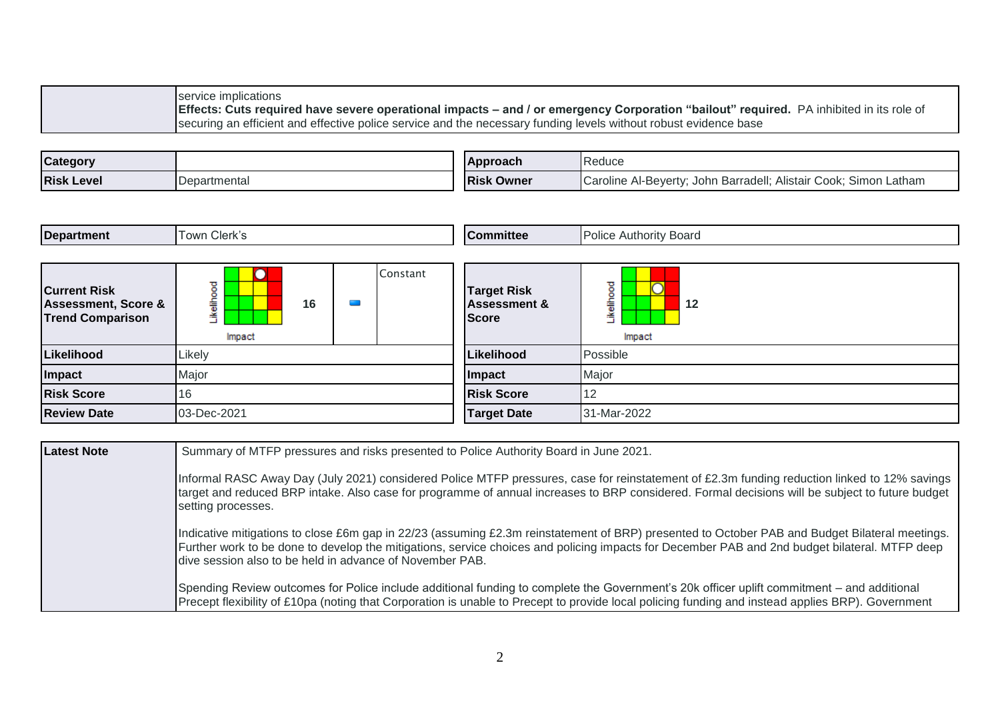service implications **Effects: Cuts required have severe operational impacts – and / or emergency Corporation "bailout" required.** PA inhibited in its role of securing an efficient and effective police service and the necessary funding levels without robust evidence base

| <b>Category</b>   |              | <b>IApproach</b>  | Reduce                                                                |
|-------------------|--------------|-------------------|-----------------------------------------------------------------------|
| <b>Risk Level</b> | Departmental | <b>Risk Owner</b> | Caroline Al-Beyerty;<br>; John Barradell; Alistair Cook; Simon Latham |

| <b>Department</b> | $\sim$ $\sim$<br>own<br>Clerk's | <b>ICommittee</b> | Board<br>Authority<br><b>UALLOL</b><br><b>UIILU</b> |
|-------------------|---------------------------------|-------------------|-----------------------------------------------------|
|                   |                                 |                   |                                                     |
|                   |                                 |                   |                                                     |

| <b>Current Risk</b><br><b>Assessment, Score &amp;</b><br><b>Trend Comparison</b> | ष्ठ<br>₽<br>16<br>竈<br>≚<br>Impact |  | Constant | <b>Target Risk</b><br><b>Assessment &amp;</b><br><b>Score</b> | 73<br>12<br>≐<br>≚<br>Impact |
|----------------------------------------------------------------------------------|------------------------------------|--|----------|---------------------------------------------------------------|------------------------------|
| Likelihood                                                                       | Likely                             |  |          | Likelihood                                                    | Possible                     |
| Impact                                                                           | Major                              |  |          | <b>Impact</b>                                                 | Major                        |
| <b>Risk Score</b>                                                                | 16                                 |  |          | <b>Risk Score</b>                                             | 12                           |
| <b>Review Date</b>                                                               | 03-Dec-2021                        |  |          | <b>Target Date</b>                                            | 31-Mar-2022                  |

| Latest Note | Summary of MTFP pressures and risks presented to Police Authority Board in June 2021.                                                                                                                                                                                                                                                                       |  |  |  |
|-------------|-------------------------------------------------------------------------------------------------------------------------------------------------------------------------------------------------------------------------------------------------------------------------------------------------------------------------------------------------------------|--|--|--|
|             | Informal RASC Away Day (July 2021) considered Police MTFP pressures, case for reinstatement of £2.3m funding reduction linked to 12% savings<br>target and reduced BRP intake. Also case for programme of annual increases to BRP considered. Formal decisions will be subject to future budget<br>setting processes.                                       |  |  |  |
|             | Indicative mitigations to close £6m gap in 22/23 (assuming £2.3m reinstatement of BRP) presented to October PAB and Budget Bilateral meetings.<br>Further work to be done to develop the mitigations, service choices and policing impacts for December PAB and 2nd budget bilateral. MTFP deep<br>dive session also to be held in advance of November PAB. |  |  |  |
|             | Spending Review outcomes for Police include additional funding to complete the Government's 20k officer uplift commitment – and additional<br>Precept flexibility of £10pa (noting that Corporation is unable to Precept to provide local policing funding and instead applies BRP). Government                                                             |  |  |  |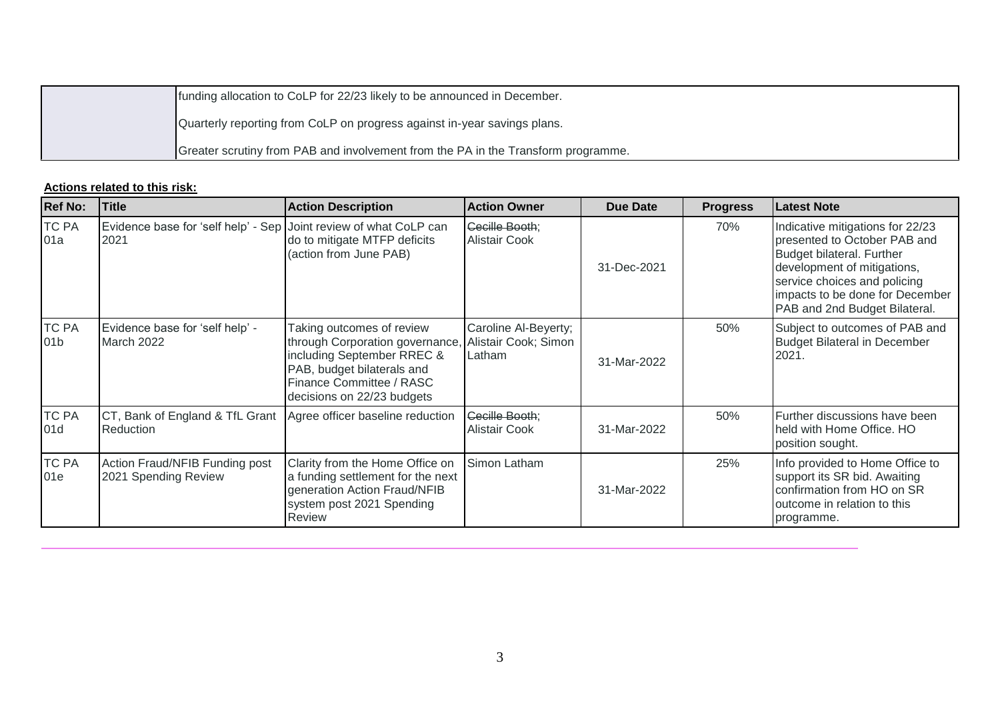| funding allocation to CoLP for 22/23 likely to be announced in December.          |
|-----------------------------------------------------------------------------------|
| Quarterly reporting from CoLP on progress against in-year savings plans.          |
| Greater scrutiny from PAB and involvement from the PA in the Transform programme. |

| <b>Ref No:</b>                  | <b>Title</b>                                                                  | <b>Action Description</b>                                                                                                                                                          | <b>Action Owner</b>                                    | Due Date    | <b>Progress</b> | <b>Latest Note</b>                                                                                                                                                                                                               |
|---------------------------------|-------------------------------------------------------------------------------|------------------------------------------------------------------------------------------------------------------------------------------------------------------------------------|--------------------------------------------------------|-------------|-----------------|----------------------------------------------------------------------------------------------------------------------------------------------------------------------------------------------------------------------------------|
| <b>TC PA</b><br>01a             | Evidence base for 'self help' - Sep Joint review of what CoLP can<br>2021     | do to mitigate MTFP deficits<br>(action from June PAB)                                                                                                                             | <b>Cecille Booth:</b><br><b>Alistair Cook</b>          | 31-Dec-2021 | 70%             | Indicative mitigations for 22/23<br>presented to October PAB and<br>Budget bilateral. Further<br>development of mitigations,<br>service choices and policing<br>impacts to be done for December<br>PAB and 2nd Budget Bilateral. |
| <b>TC PA</b><br>01 <sub>b</sub> | Evidence base for 'self help' -<br>March 2022                                 | Taking outcomes of review<br>through Corporation governance,<br>including September RREC &<br>PAB, budget bilaterals and<br>Finance Committee / RASC<br>decisions on 22/23 budgets | Caroline Al-Beyerty;<br>Alistair Cook; Simon<br>Latham | 31-Mar-2022 | 50%             | Subject to outcomes of PAB and<br><b>Budget Bilateral in December</b><br>2021.                                                                                                                                                   |
| <b>TC PA</b><br>01d             | CT, Bank of England & TfL Grant Agree officer baseline reduction<br>Reduction |                                                                                                                                                                                    | Cecille Booth;<br><b>Alistair Cook</b>                 | 31-Mar-2022 | 50%             | Further discussions have been<br>held with Home Office. HO<br>position sought.                                                                                                                                                   |
| <b>TC PA</b><br>01e             | Action Fraud/NFIB Funding post<br>2021 Spending Review                        | Clarity from the Home Office on<br>a funding settlement for the next<br>generation Action Fraud/NFIB<br>system post 2021 Spending<br>Review                                        | Simon Latham                                           | 31-Mar-2022 | 25%             | Info provided to Home Office to<br>support its SR bid. Awaiting<br>confirmation from HO on SR<br>outcome in relation to this<br>programme.                                                                                       |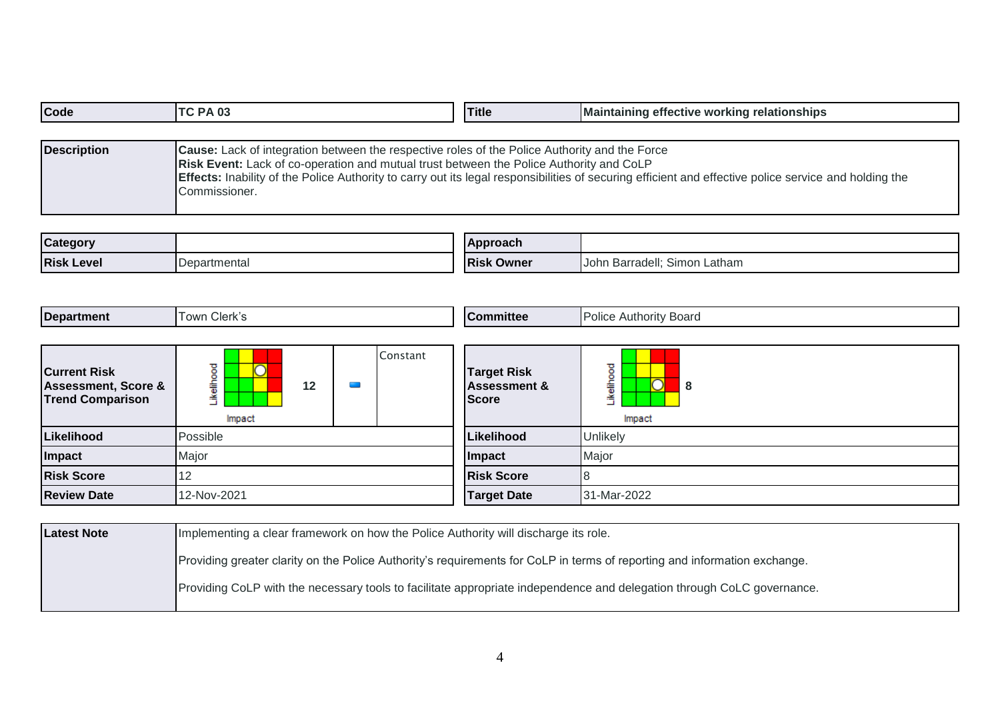| Code               | ITC PA 03                                                                                                                                                                                                        | <b>Title</b> | Maintaining effective working relationships                                                                                                                  |
|--------------------|------------------------------------------------------------------------------------------------------------------------------------------------------------------------------------------------------------------|--------------|--------------------------------------------------------------------------------------------------------------------------------------------------------------|
|                    |                                                                                                                                                                                                                  |              |                                                                                                                                                              |
| <b>Description</b> | Cause: Lack of integration between the respective roles of the Police Authority and the Force<br><b>Risk Event:</b> Lack of co-operation and mutual trust between the Police Authority and CoLP<br>Commissioner. |              | <b>Effects:</b> Inability of the Police Authority to carry out its legal responsibilities of securing efficient and effective police service and holding the |

| Category          |            | <b>Approach</b>    |                                       |
|-------------------|------------|--------------------|---------------------------------------|
| <b>Risk Level</b> | `artmenta. | . .<br> Risk Owner | Simon<br>Latham<br>Barradell:<br>Innn |

| <b>Department</b>             | $^{\circ}$ Town Clerk's | Committee          | <b>Police Authority Board</b> |
|-------------------------------|-------------------------|--------------------|-------------------------------|
|                               |                         |                    |                               |
| .<br>$\overline{\phantom{a}}$ | onstant                 | $\sim$ $  -$<br>-- |                               |

| <b>Current Risk</b><br><b>Assessment, Score &amp;</b><br><b>Trend Comparison</b> | ີ<br>o<br>12<br>竈<br>≚<br>Impact |  | <b>Target Risk</b><br><b>Assessment &amp;</b><br><b>Score</b> | $\overline{\phantom{1}}$<br>8<br>Impact |
|----------------------------------------------------------------------------------|----------------------------------|--|---------------------------------------------------------------|-----------------------------------------|
| Likelihood                                                                       | Possible                         |  | Likelihood                                                    | <b>Unlikely</b>                         |
| Impact                                                                           | Major                            |  | <b>Impact</b>                                                 | Major                                   |
| <b>Risk Score</b>                                                                | ॱ                                |  | <b>Risk Score</b>                                             | 18                                      |
| <b>Review Date</b>                                                               | 12-Nov-2021                      |  | <b>Target Date</b>                                            | 31-Mar-2022                             |

| <b>Latest Note</b> | Implementing a clear framework on how the Police Authority will discharge its role.                                       |
|--------------------|---------------------------------------------------------------------------------------------------------------------------|
|                    | Providing greater clarity on the Police Authority's requirements for CoLP in terms of reporting and information exchange. |
|                    | Providing CoLP with the necessary tools to facilitate appropriate independence and delegation through CoLC governance.    |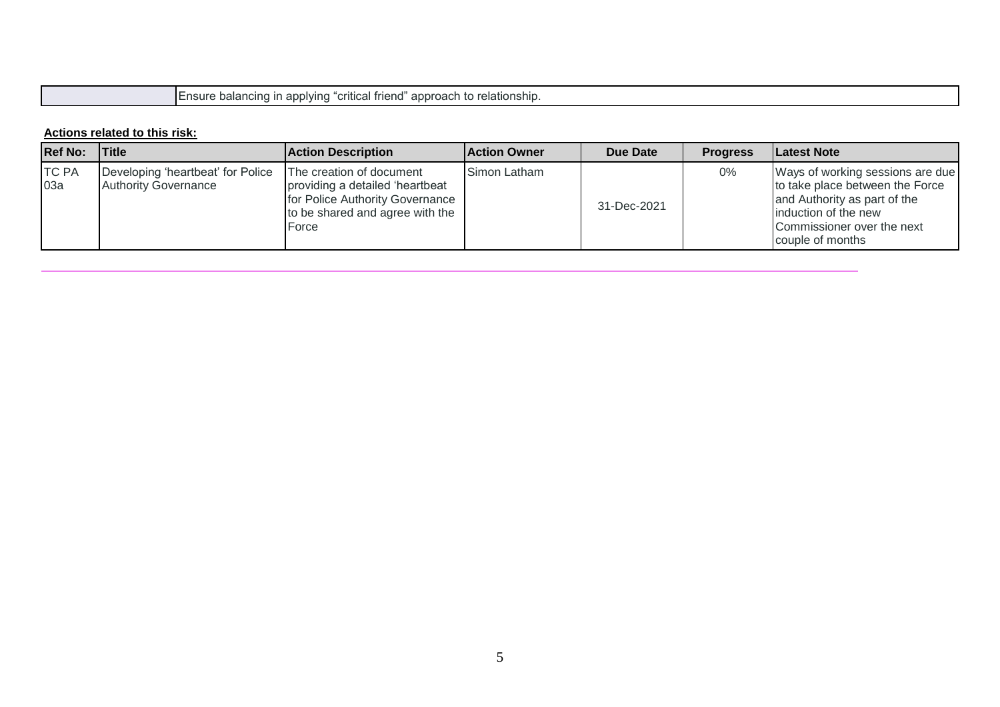Ensure balancing in applying "critical friend" approach to relationship.

| <b>Ref No:</b>      | Title                                                            | <b>Action Description</b>                                                                                                                  | <b>Action Owner</b> | Due Date    | <b>Progress</b> | Latest Note                                                                                                                                                                   |
|---------------------|------------------------------------------------------------------|--------------------------------------------------------------------------------------------------------------------------------------------|---------------------|-------------|-----------------|-------------------------------------------------------------------------------------------------------------------------------------------------------------------------------|
| <b>TC PA</b><br>03a | Developing 'heartbeat' for Police<br><b>Authority Governance</b> | The creation of document<br>providing a detailed 'heartbeat<br>for Police Authority Governance<br>to be shared and agree with the<br>Force | Simon Latham        | 31-Dec-2021 | 0%              | Ways of working sessions are due<br>to take place between the Force<br>and Authority as part of the<br>induction of the new<br>Commissioner over the next<br>couple of months |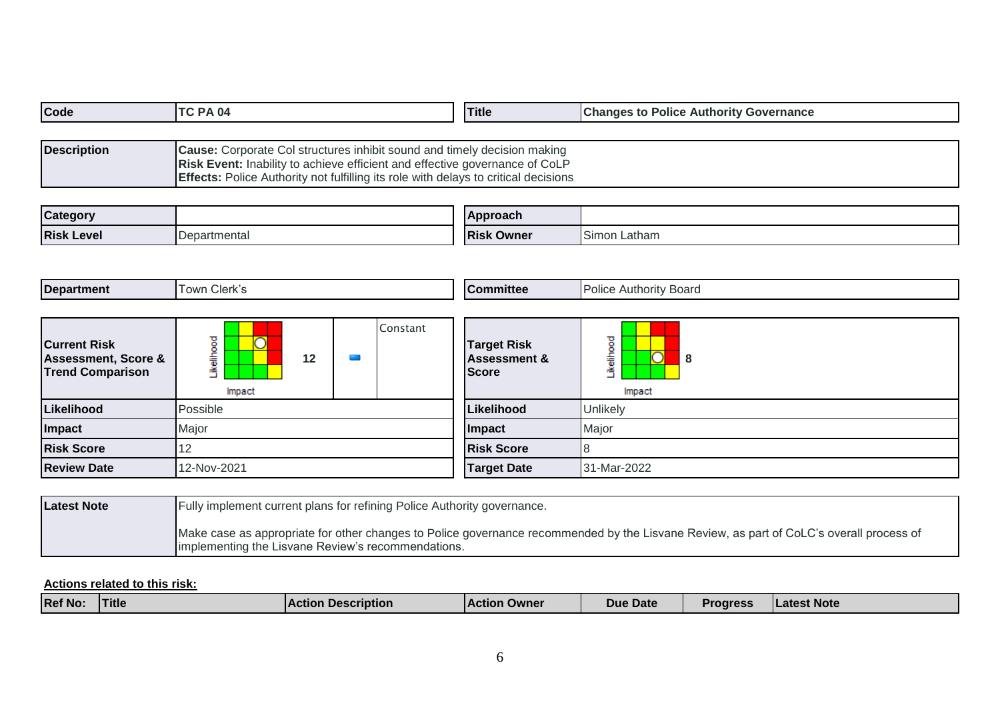| Code               | ITC PA 04                                                                                                                                                                                                                                                    | <b>Title</b> | <b>Changes to Police Authority Governance</b> |
|--------------------|--------------------------------------------------------------------------------------------------------------------------------------------------------------------------------------------------------------------------------------------------------------|--------------|-----------------------------------------------|
|                    |                                                                                                                                                                                                                                                              |              |                                               |
| <b>Description</b> | <b>Cause:</b> Corporate Col structures inhibit sound and timely decision making<br>Risk Event: Inability to achieve efficient and effective governance of CoLP<br><b>Effects:</b> Police Authority not fulfilling its role with delays to critical decisions |              |                                               |

| Category          |              | <b>Approach</b>   |                 |
|-------------------|--------------|-------------------|-----------------|
| <b>Risk Level</b> | Departmental | <b>Risk Owner</b> | Simon<br>Latham |

| <b>Department</b>                                                                | Town Clerk's                      |  | <b>Committee</b> | <b>Police Authority Board</b>                                 |                                                    |
|----------------------------------------------------------------------------------|-----------------------------------|--|------------------|---------------------------------------------------------------|----------------------------------------------------|
| <b>Current Risk</b><br><b>Assessment, Score &amp;</b><br><b>Trend Comparison</b> | elihood<br>⌒<br>12<br>≚<br>Impact |  | Constant         | <b>Target Risk</b><br><b>Assessment &amp;</b><br><b>Score</b> | ष्ठ<br>۶<br>$\overline{\rm O}$<br>8<br>電<br>Impact |
| Likelihood                                                                       | Possible                          |  |                  | Likelihood                                                    | Unlikely                                           |
| Impact                                                                           | Major                             |  |                  | Impact                                                        | Major                                              |
| <b>Risk Score</b>                                                                | 12                                |  |                  | <b>Risk Score</b>                                             | 8                                                  |
| <b>Review Date</b>                                                               | 12-Nov-2021                       |  |                  | <b>Target Date</b>                                            | 31-Mar-2022                                        |

| Latest Note | <b>Fully implement current plans for refining Police Authority governance.</b>                                                                                                                |
|-------------|-----------------------------------------------------------------------------------------------------------------------------------------------------------------------------------------------|
|             | Make case as appropriate for other changes to Police governance recommended by the Lisvane Review, as part of CoLC's overall process of<br>Implementing the Lisvane Review's recommendations. |

| <b>Ref No:</b><br>Latest Note<br>Title<br><b>NAction</b><br>Proaress<br><b>Due Date</b><br><b>Description</b><br><b>Owner</b><br><b>Action</b> |
|------------------------------------------------------------------------------------------------------------------------------------------------|
|------------------------------------------------------------------------------------------------------------------------------------------------|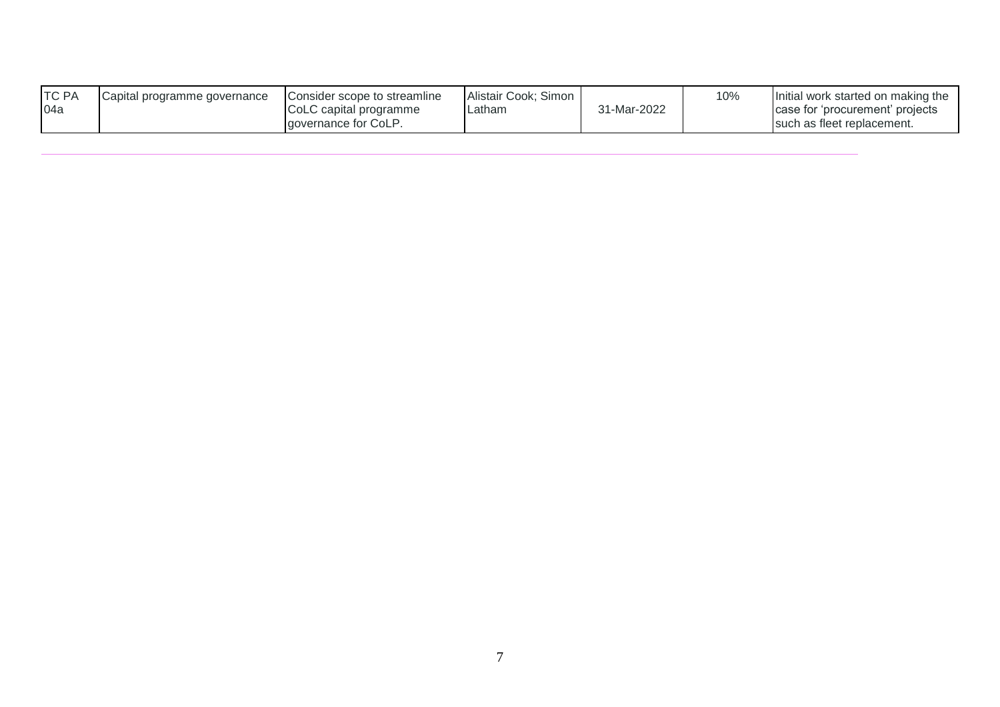| <b>TC PA</b> | Capital programme governance | Consider scope to streamline | Alistair Cook; Simon |             | 10% | Initial work started on making the |
|--------------|------------------------------|------------------------------|----------------------|-------------|-----|------------------------------------|
| 04a          |                              | CoLC capital programme       | Latham               | 31-Mar-2022 |     | case for 'procurement' projects    |
|              |                              | <b>Laovernance for CoLP.</b> |                      |             |     | I such as fleet replacement.       |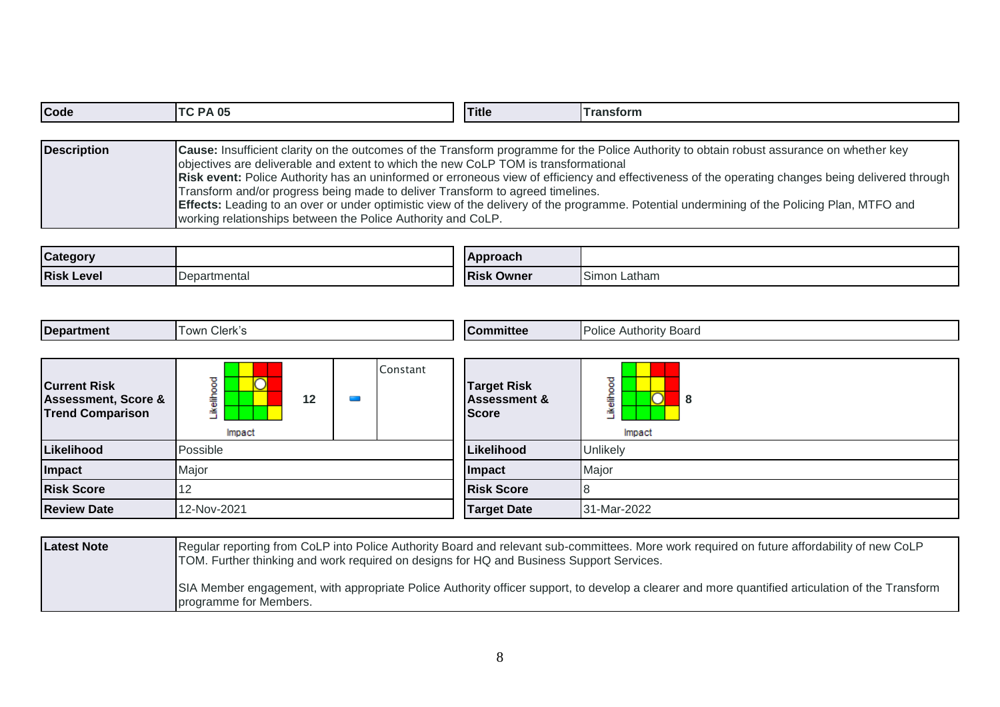| Code               | <b>ITC PA 05</b>                                                                                                                                                                                                                      | <b>Title</b> | <b>Transform</b>                                                                                                                                                                                                                                                                                                                                                                                                                                     |
|--------------------|---------------------------------------------------------------------------------------------------------------------------------------------------------------------------------------------------------------------------------------|--------------|------------------------------------------------------------------------------------------------------------------------------------------------------------------------------------------------------------------------------------------------------------------------------------------------------------------------------------------------------------------------------------------------------------------------------------------------------|
|                    |                                                                                                                                                                                                                                       |              |                                                                                                                                                                                                                                                                                                                                                                                                                                                      |
| <b>Description</b> | objectives are deliverable and extent to which the new CoLP TOM is transformational<br>Transform and/or progress being made to deliver Transform to agreed timelines.<br>working relationships between the Police Authority and CoLP. |              | Cause: Insufficient clarity on the outcomes of the Transform programme for the Police Authority to obtain robust assurance on whether key<br>Risk event: Police Authority has an uninformed or erroneous view of efficiency and effectiveness of the operating changes being delivered through<br><b>Effects:</b> Leading to an over or under optimistic view of the delivery of the programme. Potential undermining of the Policing Plan, MTFO and |

| <b>Category</b>   |                      | <b>Approach</b>      |                                  |
|-------------------|----------------------|----------------------|----------------------------------|
| <b>Risk Level</b> | <b>IDepartmental</b> | <b>Risk</b><br>Owner | $\sim$<br>Latham<br><b>Simon</b> |

| <b>Department</b>                                                                | Town Clerk's                   |          | <b>Committee</b>                                              | <b>Police Authority Board</b>                  |  |
|----------------------------------------------------------------------------------|--------------------------------|----------|---------------------------------------------------------------|------------------------------------------------|--|
| <b>Current Risk</b><br><b>Assessment, Score &amp;</b><br><b>Trend Comparison</b> | ikelihood<br>⌒<br>12<br>Impact | Constant | <b>Target Risk</b><br><b>Assessment &amp;</b><br><b>Score</b> | ikelihood<br>$\overline{\rm O}$<br>8<br>Impact |  |
| Likelihood                                                                       | Possible                       |          | Likelihood                                                    | Unlikely                                       |  |
| Impact                                                                           | Major                          |          | Impact                                                        | Major                                          |  |
| <b>Risk Score</b>                                                                | 12                             |          | <b>Risk Score</b>                                             | 8                                              |  |
| <b>Review Date</b>                                                               | 12-Nov-2021                    |          | <b>Target Date</b>                                            | 31-Mar-2022                                    |  |

| <b>Latest Note</b> | Regular reporting from CoLP into Police Authority Board and relevant sub-committees. More work required on future affordability of new CoLP<br>TOM. Further thinking and work required on designs for HQ and Business Support Services. |
|--------------------|-----------------------------------------------------------------------------------------------------------------------------------------------------------------------------------------------------------------------------------------|
|                    | SIA Member engagement, with appropriate Police Authority officer support, to develop a clearer and more quantified articulation of the Transform<br><b>I</b> programme for Members.                                                     |